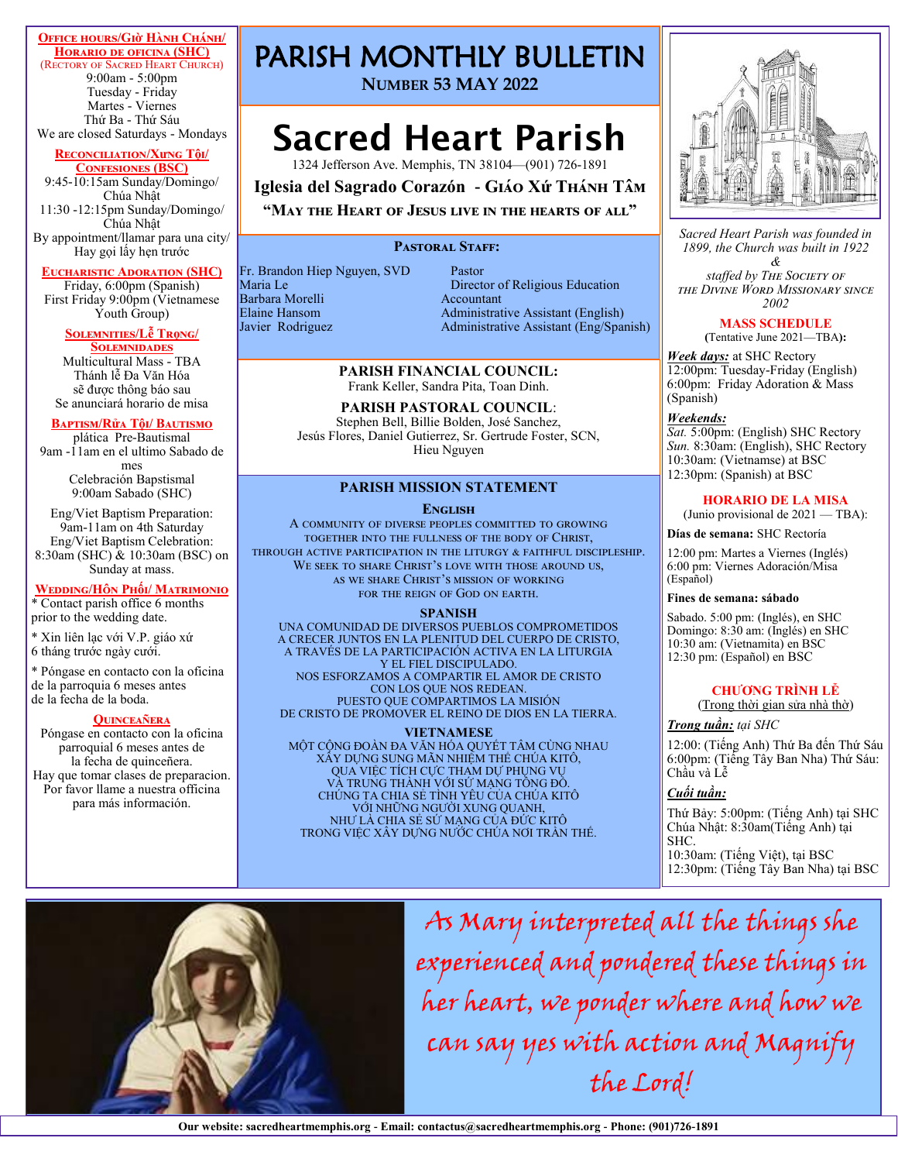## **Office hours/Giờ Hành Chánh/**

**Horario de oficina (SHC)**  (Rectory of Sacred Heart Church) 9:00am - 5:00pm Tuesday - Friday Martes - Viernes Thứ Ba - Thứ Sáu We are closed Saturdays - Mondays

## **Reconciliation/Xưng Tội/**

**Confesiones (BSC)** 9:45-10:15am Sunday/Domingo/ Chúa Nhật 11:30 -12:15pm Sunday/Domingo/ Chúa Nhật By appointment/llamar para una city/ Hay gọi lấy hẹn trước

#### **Eucharistic Adoration (SHC)**

Friday, 6:00pm (Spanish) First Friday 9:00pm (Vietnamese Youth Group)

#### **Solemnities/Lễ Trọng/ Solemnidades**

Multicultural Mass - TBA Thánh lễ Đa Văn Hóa sẽ được thông báo sau Se anunciará horario de misa

## **Baptism/Rửa Tội/ Bautismo**

plática Pre-Bautismal 9am -11am en el ultimo Sabado de mes Celebración Bapstismal 9:00am Sabado (SHC)

Eng/Viet Baptism Preparation: 9am-11am on 4th Saturday Eng/Viet Baptism Celebration: 8:30am (SHC) & 10:30am (BSC) on Sunday at mass.

#### **Wedding/Hôn Phối/ Matrimonio**

\* Contact parish office 6 months prior to the wedding date.

\* Xin liên lạc với V.P. giáo xứ 6 tháng trước ngày cưới.

\* Póngase en contacto con la oficina de la parroquia 6 meses antes de la fecha de la boda.

#### **Quinceañera**

Póngase en contacto con la oficina parroquial 6 meses antes de la fecha de quinceñera. Hay que tomar clases de preparacion. Por favor llame a nuestra officina para más información.

# PARISH MONTHLY BULLETIN

**NUMBER 53 MAY 2022**

# Sacred Heart Parish

1324 Jefferson Ave. Memphis, TN 38104—(901) 726-1891

**Iglesia del Sagrado Corazón - Giáo Xứ Thánh Tâm**

# **"May the Heart of Jesus live in the hearts of all"**

## PASTORAL STAFF:

Fr. Brandon Hiep Nguyen, SVD Pastor Barbara Morelli

Maria Le Director of Religious Education Elaine Hansom Administrative Assistant (English) Administrative Assistant (Eng/Spanish)

#### **PARISH FINANCIAL COUNCIL:**  Frank Keller, Sandra Pita, Toan Dinh.

## **PARISH PASTORAL COUNCIL**:

Stephen Bell, Billie Bolden, José Sanchez, Jesús Flores, Daniel Gutierrez, Sr. Gertrude Foster, SCN, Hieu Nguyen

### **PARISH MISSION STATEMENT**

#### **ENGLISH**

A community of diverse peoples committed to growing together into the fullness of the body of Christ, through active participation in the liturgy & faithful discipleship. WE SEEK TO SHARE CHRIST'S LOVE WITH THOSE AROUND US, as we share Christ's mission of working for the reign of God on earth.

## **SPANISH**

UNA COMUNIDAD DE DIVERSOS PUEBLOS COMPROMETIDOS A CRECER JUNTOS EN LA PLENITUD DEL CUERPO DE CRISTO, A TRAVÉS DE LA PARTICIPACIÓN ACTIVA EN LA LITURGIA Y EL FIEL DISCIPULADO. NOS ESFORZAMOS A COMPARTIR EL AMOR DE CRISTO CON LOS QUE NOS REDEAN. PUESTO QUE COMPARTIMOS LA MISIÓN

DE CRISTO DE PROMOVER EL REINO DE DIOS EN LA TIERRA.

#### **VIETNAMESE**

MỘT CỘNG ĐOÀN ĐA VĂN HÓA QUYẾT TÂM CÙNG NHAU XÂY DỰNG SUNG MÃN NHIỆM THỂ CHÚA KITÔ, QUA VIỆC TÍCH CỰC THAM DƯ PHUNG VU VÀ TRUNG THÀNH VỚI SỨ MẠNG TÔNG ĐỒ. CHÚNG TA CHIA SẺ TÌNH YÊU CỦA CHÚA KITÔ VỚI NHỮNG NGƯỜI XUNG QUANH, NHƯ LÀ CHIA SẺ SỨ MẠNG CỦA ĐỨC KITÔ TRONG VIỆC XÂY DỰNG NƯỚC CHÚA NƠI TRẦN THẾ.



*Sacred Heart Parish was founded in 1899, the Church was built in 1922* 

*& staffed by The Society of the Divine Word Missionary since 2002* 

## **MASS SCHEDULE**

**(**Tentative June 2021—TBA**):**

*Week days:* at SHC Rectory 12:00pm: Tuesday-Friday (English) 6:00pm: Friday Adoration & Mass (Spanish)

#### *Weekends:*

*Sat.* 5:00pm: (English) SHC Rectory *Sun.* 8:30am: (English), SHC Rectory 10:30am: (Vietnamse) at BSC 12:30pm: (Spanish) at BSC

## **HORARIO DE LA MISA**

(Junio provisional de 2021 — TBA):

### **Días de semana:** SHC Rectoría

12:00 pm: Martes a Viernes (Inglés) 6:00 pm: Viernes Adoración/Misa (Español)

## **Fines de semana: sábado**

Sabado. 5:00 pm: (Inglés), en SHC Domingo: 8:30 am: (Inglés) en SHC 10:30 am: (Vietnamita) en BSC 12:30 pm: (Español) en BSC

## **CHƯƠNG TRÌNH LỄ**

(Trong thời gian sửa nhà thờ)

## *Trong tuần: tại SHC*

12:00: (Tiếng Anh) Thứ Ba đến Thứ Sáu 6:00pm: (Tiếng Tây Ban Nha) Thứ Sáu: Chầu và Lễ

## *Cuối tuần:*

Thứ Bảy: 5:00pm: (Tiếng Anh) tại SHC Chúa Nhật: 8:30am(Tiếng Anh) tại SHC. 10:30am: (Tiếng Việt), tại BSC

12:30pm: (Tiếng Tây Ban Nha) tại BSC



As Mary interpreted all the things she experienced and pondered these things in her heart, we ponder where and how we can say yes with action and Magnify the Lord!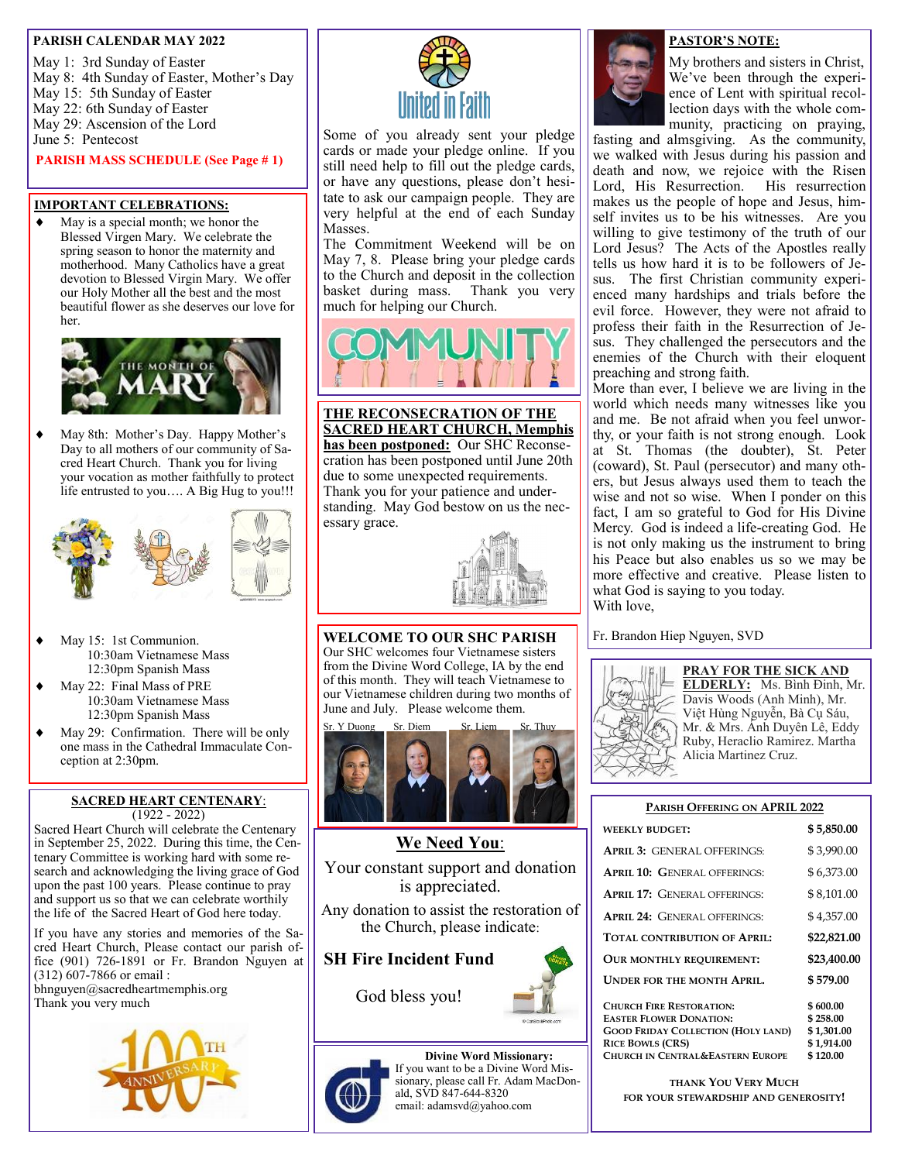## **PARISH CALENDAR MAY 2022**

May 1: 3rd Sunday of Easter May 8: 4th Sunday of Easter, Mother's Day May 15: 5th Sunday of Easter May 22: 6th Sunday of Easter May 29: Ascension of the Lord June 5: Pentecost

**PARISH MASS SCHEDULE (See Page # 1)**

## **IMPORTANT CELEBRATIONS:**

 May is a special month; we honor the Blessed Virgen Mary. We celebrate the spring season to honor the maternity and motherhood. Many Catholics have a great devotion to Blessed Virgin Mary. We offer our Holy Mother all the best and the most beautiful flower as she deserves our love for her.



 May 8th: Mother's Day. Happy Mother's Day to all mothers of our community of Sacred Heart Church. Thank you for living your vocation as mother faithfully to protect life entrusted to you…. A Big Hug to you!!!



- May 15: 1st Communion. 10:30am Vietnamese Mass 12:30pm Spanish Mass
- May 22: Final Mass of PRE 10:30am Vietnamese Mass 12:30pm Spanish Mass
- May 29: Confirmation. There will be only one mass in the Cathedral Immaculate Conception at 2:30pm.

## **SACRED HEART CENTENARY**: (1922 - 2022)

Sacred Heart Church will celebrate the Centenary in September 25, 2022. During this time, the Centenary Committee is working hard with some research and acknowledging the living grace of God upon the past 100 years. Please continue to pray and support us so that we can celebrate worthily the life of the Sacred Heart of God here today.

If you have any stories and memories of the Sacred Heart Church, Please contact our parish office (901) 726-1891 or Fr. Brandon Nguyen at (312) 607-7866 or email :

bhnguyen@sacredheartmemphis.org Thank you very much





Some of you already sent your pledge cards or made your pledge online. If you still need help to fill out the pledge cards, or have any questions, please don't hesitate to ask our campaign people. They are very helpful at the end of each Sunday Masses.

The Commitment Weekend will be on May 7, 8. Please bring your pledge cards to the Church and deposit in the collection basket during mass. Thank you very much for helping our Church.



**THE RECONSECRATION OF THE SACRED HEART CHURCH, Memphis has been postponed:** Our SHC Reconsecration has been postponed until June 20th due to some unexpected requirements. Thank you for your patience and understanding. May God bestow on us the necessary grace.



**WELCOME TO OUR SHC PARISH** Our SHC welcomes four Vietnamese sisters from the Divine Word College, IA by the end of this month. They will teach Vietnamese to our Vietnamese children during two months of June and July. Please welcome them.



**We Need You**: Your constant support and donation is appreciated.

Any donation to assist the restoration of the Church, please indicate:

**SH Fire Incident Fund**

God bless you!





## **PASTOR'S NOTE:**

My brothers and sisters in Christ, We've been through the experience of Lent with spiritual recollection days with the whole community, practicing on praying,

fasting and almsgiving. As the community, we walked with Jesus during his passion and death and now, we rejoice with the Risen Lord, His Resurrection. His resurrection makes us the people of hope and Jesus, himself invites us to be his witnesses. Are you willing to give testimony of the truth of our Lord Jesus? The Acts of the Apostles really tells us how hard it is to be followers of Jesus. The first Christian community experienced many hardships and trials before the evil force. However, they were not afraid to profess their faith in the Resurrection of Jesus. They challenged the persecutors and the enemies of the Church with their eloquent preaching and strong faith.

More than ever, I believe we are living in the world which needs many witnesses like you and me. Be not afraid when you feel unworthy, or your faith is not strong enough. Look at St. Thomas (the doubter), St. Peter (coward), St. Paul (persecutor) and many others, but Jesus always used them to teach the wise and not so wise. When I ponder on this fact, I am so grateful to God for His Divine Mercy. God is indeed a life-creating God. He is not only making us the instrument to bring his Peace but also enables us so we may be more effective and creative. Please listen to what God is saying to you today. With love,

Fr. Brandon Hiep Nguyen, SVD



**PRAY FOR THE SICK AND ELDERLY:** Ms. Bình Đinh, Mr. Davis Woods (Anh Minh), Mr. Việt Hùng Nguyễn, Bà Cụ Sáu, Mr. & Mrs. Ánh Duyên Lê, Eddy Ruby, Heraclio Ramirez. Martha Alicia Martinez Cruz.

## **PARISH OFFERING ON APRIL 2022**

| <b>WEEKLY BUDGET:</b>                                                                                                                                                                    | \$5,850.00                                                   |
|------------------------------------------------------------------------------------------------------------------------------------------------------------------------------------------|--------------------------------------------------------------|
| <b>APRIL 3: GENERAL OFFERINGS:</b>                                                                                                                                                       | \$3,990.00                                                   |
| <b>APRIL 10: GENERAL OFFERINGS:</b>                                                                                                                                                      | \$6,373.00                                                   |
| <b>APRIL 17: GENERAL OFFERINGS:</b>                                                                                                                                                      | \$8,101.00                                                   |
| <b>APRIL 24: GENERAL OFFERINGS:</b>                                                                                                                                                      | \$4,357.00                                                   |
| TOTAL CONTRIBUTION OF APRIL:                                                                                                                                                             | \$22,821.00                                                  |
| OUR MONTHLY REQUIREMENT:                                                                                                                                                                 | \$23,400.00                                                  |
| <b>UNDER FOR THE MONTH APRIL.</b>                                                                                                                                                        | \$579.00                                                     |
| <b>CHURCH FIRE RESTORATION:</b><br><b>EASTER FLOWER DONATION:</b><br><b>GOOD FRIDAY COLLECTION (HOLY LAND)</b><br><b>RICE BOWLS (CRS)</b><br><b>CHURCH IN CENTRAL&amp;EASTERN EUROPE</b> | \$600.00<br>\$258.00<br>\$1,301.00<br>\$1,914.00<br>\$120.00 |

**THANK YOU VERY MUCH FOR YOUR STEWARDSHIP AND GENEROSITY!**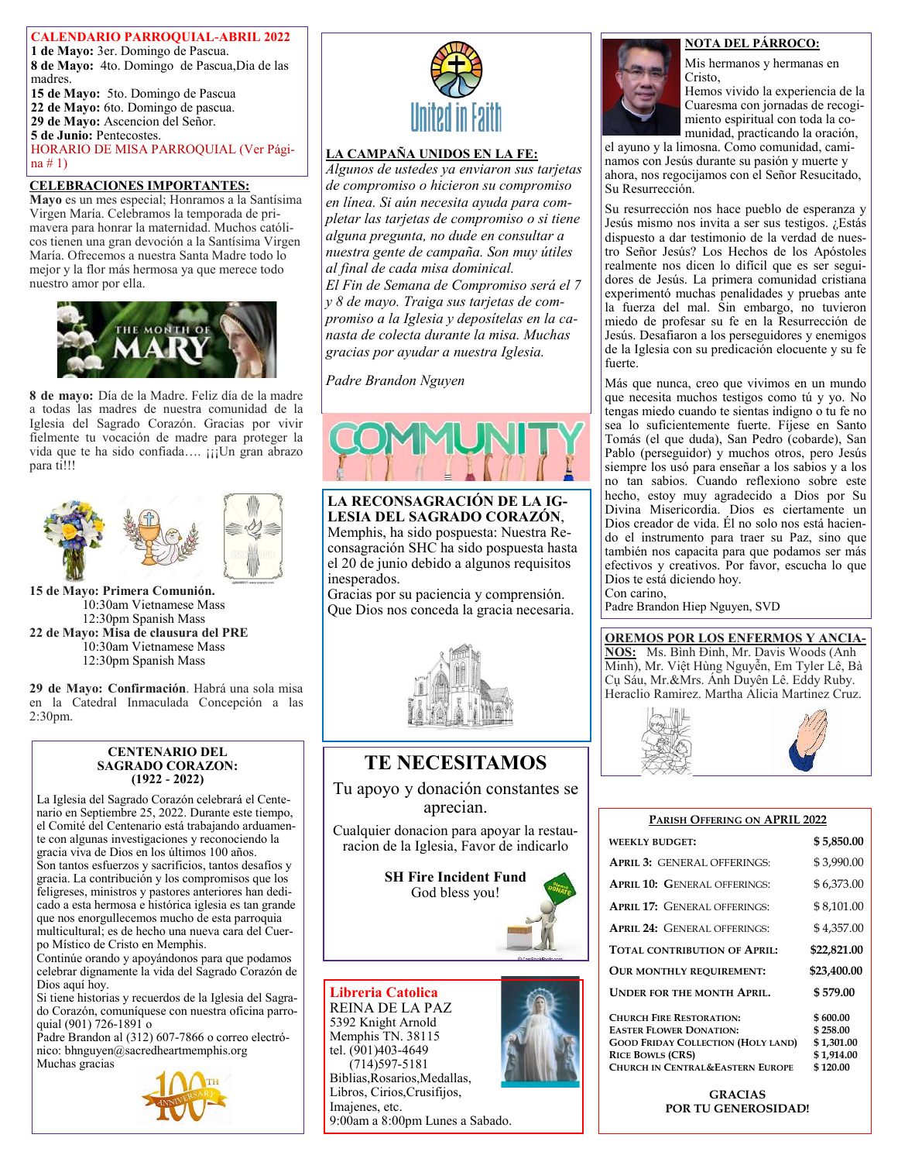**CALENDARIO PARROQUIAL-ABRIL 2022 1 de Mayo:** 3er. Domingo de Pascua. **8 de Mayo:** 4to. Domingo de Pascua,Dia de las madres. **15 de Mayo:** 5to. Domingo de Pascua **22 de Mayo:** 6to. Domingo de pascua. **29 de Mayo:** Ascencion del Señor. **5 de Junio:** Pentecostes. HORARIO DE MISA PARROQUIAL (Ver Página # 1)

## **CELEBRACIONES IMPORTANTES:**

**Mayo** es un mes especial; Honramos a la Santísima Virgen María. Celebramos la temporada de primavera para honrar la maternidad. Muchos católicos tienen una gran devoción a la Santísima Virgen María. Ofrecemos a nuestra Santa Madre todo lo mejor y la flor más hermosa ya que merece todo nuestro amor por ella.



**8 de mayo:** Día de la Madre. Feliz día de la madre a todas las madres de nuestra comunidad de la Iglesia del Sagrado Corazón. Gracias por vivir fielmente tu vocación de madre para proteger la vida que te ha sido confiada.... ¡¡¡Un gran abrazo para ti!!!



**15 de Mayo: Primera Comunión.** 10:30am Vietnamese Mass 12:30pm Spanish Mass **22 de Mayo: Misa de clausura del PRE** 10:30am Vietnamese Mass 12:30pm Spanish Mass

**29 de Mayo: Confirmación**. Habrá una sola misa en la Catedral Inmaculada Concepción a las 2:30pm.

#### **CENTENARIO DEL SAGRADO CORAZON: (1922 - 2022)**

La Iglesia del Sagrado Corazón celebrará el Centenario en Septiembre 25, 2022. Durante este tiempo, el Comité del Centenario está trabajando arduamente con algunas investigaciones y reconociendo la gracia viva de Dios en los últimos 100 años. Son tantos esfuerzos y sacrificios, tantos desafíos y gracia. La contribución y los compromisos que los feligreses, ministros y pastores anteriores han dedicado a esta hermosa e histórica iglesia es tan grande que nos enorgullecemos mucho de esta parroquia multicultural; es de hecho una nueva cara del Cuerpo Místico de Cristo en Memphis.

Continúe orando y apoyándonos para que podamos celebrar dignamente la vida del Sagrado Corazón de Dios aquí hoy.

Si tiene historias y recuerdos de la Iglesia del Sagrado Corazón, comuníquese con nuestra oficina parroquial (901) 726-1891 o

Padre Brandon al (312) 607-7866 o correo electrónico: bhnguyen@sacredheartmemphis.org Muchas gracias





## **LA CAMPAÑA UNIDOS EN LA FE:**

*Algunos de ustedes ya enviaron sus tarjetas de compromiso o hicieron su compromiso en línea. Si aún necesita ayuda para completar las tarjetas de compromiso o si tiene alguna pregunta, no dude en consultar a nuestra gente de campaña. Son muy útiles al final de cada misa dominical.*

*El Fin de Semana de Compromiso será el 7 y 8 de mayo. Traiga sus tarjetas de compromiso a la Iglesia y deposítelas en la canasta de colecta durante la misa. Muchas gracias por ayudar a nuestra Iglesia.*

*Padre Brandon Nguyen*



**LA RECONSAGRACIÓN DE LA IG-LESIA DEL SAGRADO CORAZÓN**, Memphis, ha sido pospuesta: Nuestra Reconsagración SHC ha sido pospuesta hasta el 20 de junio debido a algunos requisitos inesperados.

Gracias por su paciencia y comprensión. Que Dios nos conceda la gracia necesaria.



# **TE NECESITAMOS**

Tu apoyo y donación constantes se aprecian.

Cualquier donacion para apoyar la restauracion de la Iglesia, Favor de indicarlo

> **SH Fire Incident Fund** God bless you!



## **Libreria Catolica** REINA DE LA PAZ 5392 Knight Arnold Memphis TN. 38115 tel. (901)403-4649 (714)597-5181

Biblias,Rosarios,Medallas, Libros, Cirios,Crusifijos, Imajenes, etc. 9:00am a 8:00pm Lunes a Sabado.

## **NOTA DEL PÁRROCO:**

Mis hermanos y hermanas en Cristo,

Hemos vivido la experiencia de la Cuaresma con jornadas de recogimiento espiritual con toda la comunidad, practicando la oración,

el ayuno y la limosna. Como comunidad, caminamos con Jesús durante su pasión y muerte y ahora, nos regocijamos con el Señor Resucitado, Su Resurrección.

Su resurrección nos hace pueblo de esperanza y Jesús mismo nos invita a ser sus testigos. ¿Estás dispuesto a dar testimonio de la verdad de nuestro Señor Jesús? Los Hechos de los Apóstoles realmente nos dicen lo difícil que es ser seguidores de Jesús. La primera comunidad cristiana experimentó muchas penalidades y pruebas ante la fuerza del mal. Sin embargo, no tuvieron miedo de profesar su fe en la Resurrección de Jesús. Desafiaron a los perseguidores y enemigos de la Iglesia con su predicación elocuente y su fe fuerte.

Más que nunca, creo que vivimos en un mundo que necesita muchos testigos como tú y yo. No tengas miedo cuando te sientas indigno o tu fe no sea lo suficientemente fuerte. Fíjese en Santo Tomás (el que duda), San Pedro (cobarde), San Pablo (perseguidor) y muchos otros, pero Jesús siempre los usó para enseñar a los sabios y a los no tan sabios. Cuando reflexiono sobre este hecho, estoy muy agradecido a Dios por Su Divina Misericordia. Dios es ciertamente un Dios creador de vida. Él no solo nos está haciendo el instrumento para traer su Paz, sino que también nos capacita para que podamos ser más efectivos y creativos. Por favor, escucha lo que Dios te está diciendo hoy. Con carino,

Padre Brandon Hiep Nguyen, SVD

#### **OREMOS POR LOS ENFERMOS Y ANCIA-NOS:** Ms. Bình Đinh, Mr. Davis Woods (Anh Minh), Mr. Việt Hùng Nguyễn, Em Tyler Lê, Bà

Cụ Sáu, Mr.&Mrs. Ánh Duyên Lê. Eddy Ruby. Heraclio Ramirez. Martha Alicia Martinez Cruz.



| PARISH OFFERING ON APRIL 2022                                                                                                                                                            |                                                              |  |
|------------------------------------------------------------------------------------------------------------------------------------------------------------------------------------------|--------------------------------------------------------------|--|
| <b>WEEKLY BUDGET:</b>                                                                                                                                                                    | \$5,850.00                                                   |  |
| <b>APRIL 3: GENERAL OFFERINGS:</b>                                                                                                                                                       | \$3,990.00                                                   |  |
| <b>APRIL 10: GENERAL OFFERINGS:</b>                                                                                                                                                      | \$6,373.00                                                   |  |
| <b>APRIL 17: GENERAL OFFERINGS:</b>                                                                                                                                                      | \$8,101.00                                                   |  |
| <b>APRIL 24: GENERAL OFFERINGS:</b>                                                                                                                                                      | \$4,357.00                                                   |  |
| TOTAL CONTRIBUTION OF APRIL:                                                                                                                                                             | \$22,821.00                                                  |  |
| <b>OUR MONTHLY REQUIREMENT:</b>                                                                                                                                                          | \$23,400.00                                                  |  |
| <b>UNDER FOR THE MONTH APRIL.</b>                                                                                                                                                        | \$579.00                                                     |  |
| <b>CHURCH FIRE RESTORATION:</b><br><b>EASTER FLOWER DONATION:</b><br><b>GOOD FRIDAY COLLECTION (HOLY LAND)</b><br><b>RICE BOWLS (CRS)</b><br><b>CHURCH IN CENTRAL&amp;EASTERN EUROPE</b> | \$600.00<br>\$258.00<br>\$1,301.00<br>\$1,914.00<br>\$120.00 |  |

**GRACIAS POR TU GENEROSIDAD!**